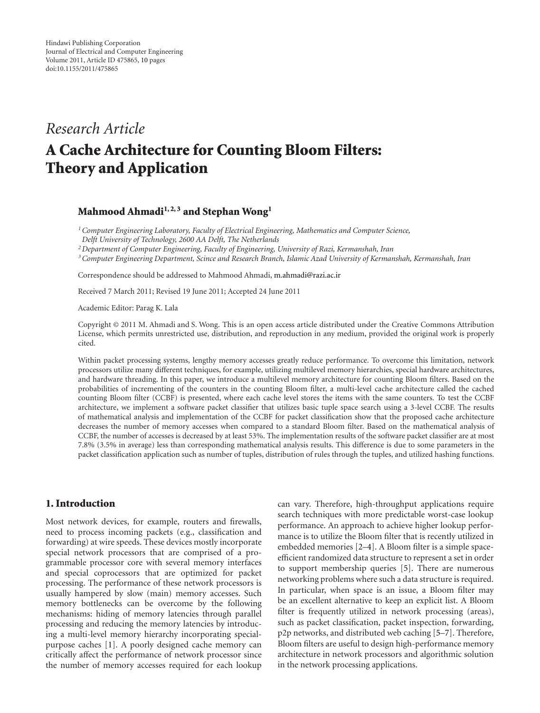## *Research Article*

# **A Cache Architecture for Counting Bloom Filters: Theory and Application**

### **Mahmood Ahmadi1, 2, 3 and Stephan Wong1**

*1Computer Engineering Laboratory, Faculty of Electrical Engineering, Mathematics and Computer Science,*

*Delft University of Technology, 2600 AA Delft, The Netherlands*

*2Department of Computer Engineering, Faculty of Engineering, University of Razi, Kermanshah, Iran*

*3Computer Engineering Department, Scince and Research Branch, Islamic Azad University of Kermanshah, Kermanshah, Iran*

Correspondence should be addressed to Mahmood Ahmadi, m.ahmadi@razi.ac.ir

Received 7 March 2011; Revised 19 June 2011; Accepted 24 June 2011

Academic Editor: Parag K. Lala

Copyright © 2011 M. Ahmadi and S. Wong. This is an open access article distributed under the Creative Commons Attribution License, which permits unrestricted use, distribution, and reproduction in any medium, provided the original work is properly cited.

Within packet processing systems, lengthy memory accesses greatly reduce performance. To overcome this limitation, network processors utilize many different techniques, for example, utilizing multilevel memory hierarchies, special hardware architectures, and hardware threading. In this paper, we introduce a multilevel memory architecture for counting Bloom filters. Based on the probabilities of incrementing of the counters in the counting Bloom filter, a multi-level cache architecture called the cached counting Bloom filter (CCBF) is presented, where each cache level stores the items with the same counters. To test the CCBF architecture, we implement a software packet classifier that utilizes basic tuple space search using a 3-level CCBF. The results of mathematical analysis and implementation of the CCBF for packet classification show that the proposed cache architecture decreases the number of memory accesses when compared to a standard Bloom filter. Based on the mathematical analysis of CCBF, the number of accesses is decreased by at least 53%. The implementation results of the software packet classifier are at most 7.8% (3.5% in average) less than corresponding mathematical analysis results. This difference is due to some parameters in the packet classification application such as number of tuples, distribution of rules through the tuples, and utilized hashing functions.

#### **1. Introduction**

Most network devices, for example, routers and firewalls, need to process incoming packets (e.g., classification and forwarding) at wire speeds. These devices mostly incorporate special network processors that are comprised of a programmable processor core with several memory interfaces and special coprocessors that are optimized for packet processing. The performance of these network processors is usually hampered by slow (main) memory accesses. Such memory bottlenecks can be overcome by the following mechanisms: hiding of memory latencies through parallel processing and reducing the memory latencies by introducing a multi-level memory hierarchy incorporating specialpurpose caches [1]. A poorly designed cache memory can critically affect the performance of network processor since the number of memory accesses required for each lookup

can vary. Therefore, high-throughput applications require search techniques with more predictable worst-case lookup performance. An approach to achieve higher lookup performance is to utilize the Bloom filter that is recently utilized in embedded memories [2–4]. A Bloom filter is a simple spaceefficient randomized data structure to represent a set in order to support membership queries [5]. There are numerous networking problems where such a data structure is required. In particular, when space is an issue, a Bloom filter may be an excellent alternative to keep an explicit list. A Bloom filter is frequently utilized in network processing (areas), such as packet classification, packet inspection, forwarding, p2p networks, and distributed web caching [5–7]. Therefore, Bloom filters are useful to design high-performance memory architecture in network processors and algorithmic solution in the network processing applications.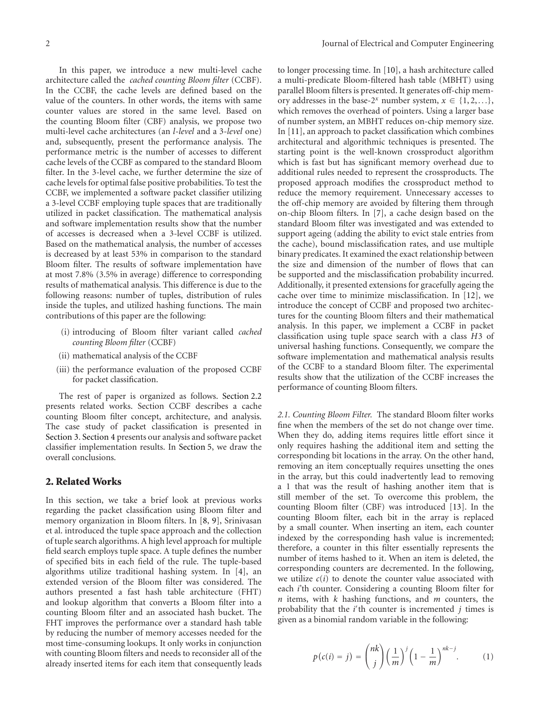In this paper, we introduce a new multi-level cache architecture called the *cached counting Bloom filter* (CCBF). In the CCBF, the cache levels are defined based on the value of the counters. In other words, the items with same counter values are stored in the same level. Based on the counting Bloom filter (CBF) analysis, we propose two multi-level cache architectures (an *l*-*level* and a 3-*level* one) and, subsequently, present the performance analysis. The performance metric is the number of accesses to different cache levels of the CCBF as compared to the standard Bloom filter. In the 3-level cache, we further determine the size of cache levels for optimal false positive probabilities. To test the CCBF, we implemented a software packet classifier utilizing a 3-level CCBF employing tuple spaces that are traditionally utilized in packet classification. The mathematical analysis and software implementation results show that the number of accesses is decreased when a 3-level CCBF is utilized. Based on the mathematical analysis, the number of accesses is decreased by at least 53% in comparison to the standard Bloom filter. The results of software implementation have at most 7.8% (3.5% in average) difference to corresponding results of mathematical analysis. This difference is due to the following reasons: number of tuples, distribution of rules inside the tuples, and utilized hashing functions. The main contributions of this paper are the following:

- (i) introducing of Bloom filter variant called *cached counting Bloom filter* (CCBF)
- (ii) mathematical analysis of the CCBF
- (iii) the performance evaluation of the proposed CCBF for packet classification.

The rest of paper is organized as follows. Section 2.2 presents related works. Section CCBF describes a cache counting Bloom filter concept, architecture, and analysis. The case study of packet classification is presented in Section 3. Section 4 presents our analysis and software packet classifier implementation results. In Section 5, we draw the overall conclusions.

#### **2. Related Works**

In this section, we take a brief look at previous works regarding the packet classification using Bloom filter and memory organization in Bloom filters. In [8, 9], Srinivasan et al. introduced the tuple space approach and the collection of tuple search algorithms. A high level approach for multiple field search employs tuple space. A tuple defines the number of specified bits in each field of the rule. The tuple-based algorithms utilize traditional hashing system. In [4], an extended version of the Bloom filter was considered. The authors presented a fast hash table architecture (FHT) and lookup algorithm that converts a Bloom filter into a counting Bloom filter and an associated hash bucket. The FHT improves the performance over a standard hash table by reducing the number of memory accesses needed for the most time-consuming lookups. It only works in conjunction with counting Bloom filters and needs to reconsider all of the already inserted items for each item that consequently leads to longer processing time. In [10], a hash architecture called a multi-predicate Bloom-filtered hash table (MBHT) using parallel Bloom filters is presented. It generates off-chip memory addresses in the base-2<sup>*x*</sup> number system,  $x \in \{1, 2, ...\}$ , which removes the overhead of pointers. Using a larger base of number system, an MBHT reduces on-chip memory size. In [11], an approach to packet classification which combines architectural and algorithmic techniques is presented. The starting point is the well-known crossproduct algorithm which is fast but has significant memory overhead due to additional rules needed to represent the crossproducts. The proposed approach modifies the crossproduct method to reduce the memory requirement. Unnecessary accesses to the off-chip memory are avoided by filtering them through on-chip Bloom filters. In [7], a cache design based on the standard Bloom filter was investigated and was extended to support ageing (adding the ability to evict stale entries from the cache), bound misclassification rates, and use multiple binary predicates. It examined the exact relationship between the size and dimension of the number of flows that can be supported and the misclassification probability incurred. Additionally, it presented extensions for gracefully ageing the cache over time to minimize misclassification. In [12], we introduce the concept of CCBF and proposed two architectures for the counting Bloom filters and their mathematical analysis. In this paper, we implement a CCBF in packet classification using tuple space search with a class *H*3 of universal hashing functions. Consequently, we compare the software implementation and mathematical analysis results of the CCBF to a standard Bloom filter. The experimental results show that the utilization of the CCBF increases the performance of counting Bloom filters.

*2.1. Counting Bloom Filter.* The standard Bloom filter works fine when the members of the set do not change over time. When they do, adding items requires little effort since it only requires hashing the additional item and setting the corresponding bit locations in the array. On the other hand, removing an item conceptually requires unsetting the ones in the array, but this could inadvertently lead to removing a 1 that was the result of hashing another item that is still member of the set. To overcome this problem, the counting Bloom filter (CBF) was introduced [13]. In the counting Bloom filter, each bit in the array is replaced by a small counter. When inserting an item, each counter indexed by the corresponding hash value is incremented; therefore, a counter in this filter essentially represents the number of items hashed to it. When an item is deleted, the corresponding counters are decremented. In the following, we utilize  $c(i)$  to denote the counter value associated with each *i*'th counter. Considering a counting Bloom filter for *n* items, with *k* hashing functions, and *m* counters, the probability that the  $i'$ <sup>th</sup> counter is incremented  $j$  times is given as a binomial random variable in the following: given as a binomial random variable in the following:

$$
p(c(i) = j) = {nk \choose j} \left(\frac{1}{m}\right)^j \left(1 - \frac{1}{m}\right)^{nk - j}.
$$
 (1)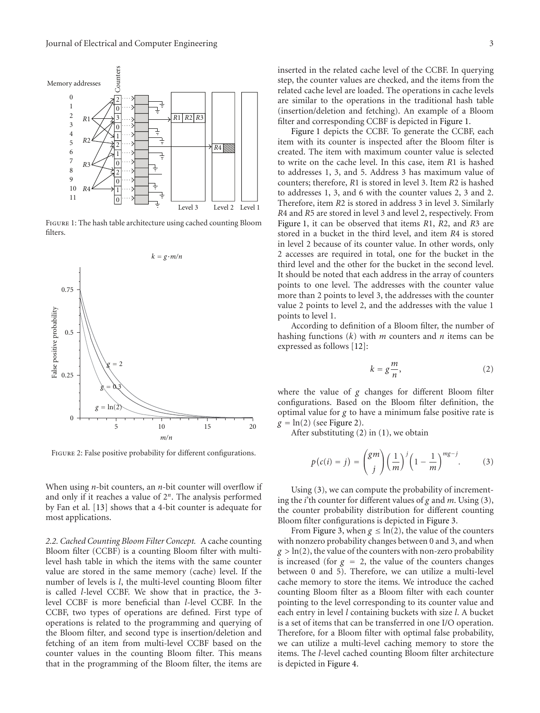

Figure 1: The hash table architecture using cached counting Bloom filters.



FIGURE 2: False positive probability for different configurations.

When using *n*-bit counters, an *n*-bit counter will overflow if and only if it reaches a value of 2*n*. The analysis performed by Fan et al. [13] shows that a 4-bit counter is adequate for most applications.

*2.2. Cached Counting Bloom Filter Concept.* A cache counting Bloom filter (CCBF) is a counting Bloom filter with multilevel hash table in which the items with the same counter value are stored in the same memory (cache) level. If the number of levels is *l*, the multi-level counting Bloom filter<br>is called *Llevel CCBE We show that in practice* the <sup>3</sup>is called *l*-level CCBF. We show that in practice, the 3-<br>level CCBF is more beneficial than *l*-level CCBF. In the level CCBF is more beneficial than *l*-level CCBF. In the CCBF, two types of operations are defined. First type of operations is related to the programming and querying of the Bloom filter, and second type is insertion/deletion and fetching of an item from multi-level CCBF based on the counter values in the counting Bloom filter. This means that in the programming of the Bloom filter, the items are

inserted in the related cache level of the CCBF. In querying step, the counter values are checked, and the items from the related cache level are loaded. The operations in cache levels are similar to the operations in the traditional hash table (insertion/deletion and fetching). An example of a Bloom filter and corresponding CCBF is depicted in Figure 1.

Figure 1 depicts the CCBF. To generate the CCBF, each item with its counter is inspected after the Bloom filter is created. The item with maximum counter value is selected to write on the cache level. In this case, item *R*1 is hashed to addresses 1, 3, and 5. Address 3 has maximum value of counters; therefore, *R*1 is stored in level 3. Item *R*2 is hashed to addresses 1, 3, and 6 with the counter values 2, 3 and 2. Therefore, item *R*2 is stored in address 3 in level 3. Similarly *R*4 and *R*5 are stored in level 3 and level 2, respectively. From Figure 1, it can be observed that items *R*1, *R*2, and *R*3 are stored in a bucket in the third level, and item *R*4 is stored in level 2 because of its counter value. In other words, only 2 accesses are required in total, one for the bucket in the third level and the other for the bucket in the second level. It should be noted that each address in the array of counters points to one level. The addresses with the counter value more than 2 points to level 3, the addresses with the counter value 2 points to level 2, and the addresses with the value 1 points to level 1.

According to definition of a Bloom filter, the number of hashing functions (*k*) with *m* counters and *n* items can be expressed as follows [12]:

$$
k = g \frac{m}{n},\tag{2}
$$

where the value of *g* changes for different Bloom filter configurations. Based on the Bloom filter definition, the optimal value for *g* to have a minimum false positive rate is  $g = \ln(2)$  (see Figure 2).

After substituting (2) in (1), we obtain

$$
p(c(i) = j) = {gm \choose j} \left(\frac{1}{m}\right)^j \left(1 - \frac{1}{m}\right)^{mg-j}.
$$
 (3)

Using (3), we can compute the probability of incrementing the *i*'th counter for different values of *g* and *m*. Using (3), the counter probability distribution for different counting Bloom filter configurations is depicted in Figure 3.

From Figure 3, when  $g \leq \ln(2)$ , the value of the counters with nonzero probability changes between 0 and 3, and when  $g > ln(2)$ , the value of the counters with non-zero probability is increased (for  $g = 2$ , the value of the counters changes between 0 and 5). Therefore, we can utilize a multi-level cache memory to store the items. We introduce the cached counting Bloom filter as a Bloom filter with each counter pointing to the level corresponding to its counter value and each entry in level *l* containing buckets with size *l*. A bucket is a set of items that can be transferred in one I/O operation. Therefore, for a Bloom filter with optimal false probability, we can utilize a multi-level caching memory to store the items. The *l*-level cached counting Bloom filter architecture is depicted in Figure 4.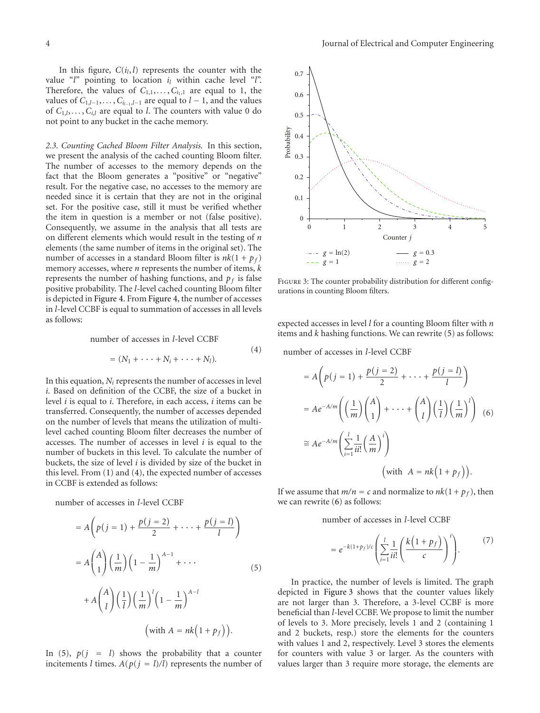In this figure,  $C(i_l, l)$  represents the counter with the value "*l*" pointing to location *il* within cache level "*l*". Therefore, the values of  $C_{1,1}, \ldots, C_{i_1,1}$  are equal to 1, the values of  $C_{1,l-1}, \ldots, C_{i_{l-1},l-1}$  are equal to  $l-1$ , and the values of  $C_{1,l}, \ldots, C_{i,l}$  are equal to *l*. The counters with value 0 do not point to any bucket in the cache memory.

*2.3. Counting Cached Bloom Filter Analysis.* In this section, we present the analysis of the cached counting Bloom filter. The number of accesses to the memory depends on the fact that the Bloom generates a "positive" or "negative" result. For the negative case, no accesses to the memory are needed since it is certain that they are not in the original set. For the positive case, still it must be verified whether the item in question is a member or not (false positive). Consequently, we assume in the analysis that all tests are on different elements which would result in the testing of *n* elements (the same number of items in the original set). The number of accesses in a standard Bloom filter is  $nk(1 + p_f)$ memory accesses, where *n* represents the number of items, *k* represents the number of hashing functions, and  $p_f$  is false positive probability. The *l*-level cached counting Bloom filter is depicted in Figure 4. From Figure 4, the number of accesses in *l*-level CCBF is equal to summation of accesses in all levels as follows:

> number of accesses in *l*-level CCBF  $= (N_1 + \cdots + N_i + \cdots + N_l).$ (4)

In this equation, *Ni* represents the number of accesses in level *i*. Based on definition of the CCBF, the size of a bucket in level *i* is equal to *i*. Therefore, in each access, *i* items can be transferred. Consequently, the number of accesses depended on the number of levels that means the utilization of multilevel cached counting Bloom filter decreases the number of accesses. The number of accesses in level *i* is equal to the number of buckets in this level. To calculate the number of buckets, the size of level *i* is divided by size of the bucket in this level. From (1) and (4), the expected number of accesses in CCBF is extended as follows:

number of accesses in *l*-level CCBF

$$
= A\left(p(j=1) + \frac{p(j=2)}{2} + \dots + \frac{p(j=l)}{l}\right)
$$

$$
= A\binom{A}{1}\left(\frac{1}{m}\right)\left(1 - \frac{1}{m}\right)^{A-1} + \dots
$$

$$
+ A\binom{A}{l}\left(\frac{1}{l}\right)\left(\frac{1}{m}\right)^{l}\left(1 - \frac{1}{m}\right)^{A-l}
$$

$$
\left(\text{with } A = nk\left(1 + p_f\right)\right).
$$

In (5),  $p(j = l)$  shows the probability that a counter incitements *l* times.  $A(p(j = l)/l)$  represents the number of



FIGURE 3: The counter probability distribution for different configurations in counting Bloom filters.

expected accesses in level *l* for a counting Bloom filter with *n* items and *k* hashing functions. We can rewrite (5) as follows:

number of accesses in *l*-level CCBF

$$
= A\left(p(j=1) + \frac{p(j=2)}{2} + \dots + \frac{p(j=l)}{l}\right)
$$
  

$$
= Ae^{-A/m}\left(\left(\frac{1}{m}\right)\binom{A}{1} + \dots + \binom{A}{l}\left(\frac{1}{l}\right)\left(\frac{1}{m}\right)^{l}\right) (6)
$$
  

$$
\cong Ae^{-A/m}\left(\sum_{i=1}^{l} \frac{1}{ii!} \left(\frac{A}{m}\right)^{i}\right)
$$
  

$$
\left(\text{with } A = nk(1 + p_f)\right).
$$

If we assume that  $m/n = c$  and normalize to  $nk(1 + p_f)$ , then we can rewrite (6) as follows:

number of accesses in *l*-level CCBF

$$
=e^{-k(1+p_f)/c}\left(\sum_{i=1}^l\frac{1}{ii!}\left(\frac{k\left(1+p_f\right)}{c}\right)^i\right). \hspace{1cm} (7)
$$

In practice, the number of levels is limited. The graph depicted in Figure 3 shows that the counter values likely are not larger than 3. Therefore, a 3-level CCBF is more beneficial than *l*-level CCBF. We propose to limit the number of levels to 3. More precisely, levels 1 and 2 (containing 1 and 2 buckets, resp.) store the elements for the counters with values 1 and 2, respectively. Level 3 stores the elements for counters with value 3 or larger. As the counters with values larger than 3 require more storage, the elements are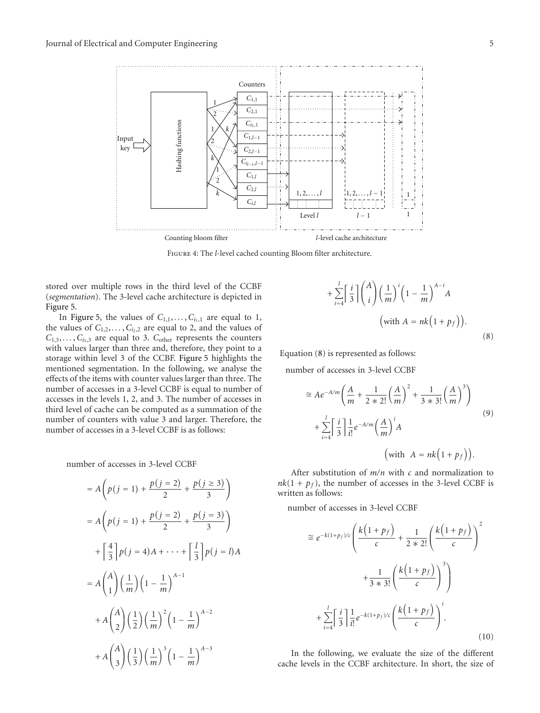

Figure 4: The *l*-level cached counting Bloom filter architecture.

stored over multiple rows in the third level of the CCBF (*segmentation*). The 3-level cache architecture is depicted in Figure 5.

In Figure 5, the values of  $C_{1,1}, \ldots, C_{i_1,1}$  are equal to 1, the values of  $C_{1,2}, \ldots, C_{i_2,2}$  are equal to 2, and the values of  $C_{1,3}, \ldots, C_{i_3,3}$  are equal to 3.  $C_{\text{other}}$  represents the counters with values larger than three and, therefore, they point to a storage within level 3 of the CCBF. Figure 5 highlights the mentioned segmentation. In the following, we analyse the effects of the items with counter values larger than three. The number of accesses in a 3-level CCBF is equal to number of accesses in the levels 1, 2, and 3. The number of accesses in third level of cache can be computed as a summation of the number of counters with value 3 and larger. Therefore, the number of accesses in a 3-level CCBF is as follows:

number of accesses in 3-level CCBF

$$
= A\left(p(j=1) + \frac{p(j=2)}{2} + \frac{p(j\geq 3)}{3}\right)
$$

$$
= A\left(p(j=1) + \frac{p(j=2)}{2} + \frac{p(j=3)}{3}\right)
$$

$$
+ \left\lceil \frac{4}{3} \right\rceil p(j=4)A + \dots + \left\lceil \frac{1}{3} \right\rceil p(j=l)A
$$

$$
= A\binom{A}{1}\left(\frac{1}{m}\right)\left(1 - \frac{1}{m}\right)^{A-1}
$$

$$
+ A\binom{A}{2}\left(\frac{1}{2}\right)\left(\frac{1}{m}\right)^{2}\left(1 - \frac{1}{m}\right)^{A-2}
$$

$$
+ A\binom{A}{3}\left(\frac{1}{3}\right)\left(\frac{1}{m}\right)^{3}\left(1 - \frac{1}{m}\right)^{A-3}
$$

$$
\sum_{i=4}^{l} \left[ \frac{i}{3} \right] {A \choose i} \left( \frac{1}{m} \right)^{i} \left( 1 - \frac{1}{m} \right)^{A-i} A
$$
  
(with  $A = nk \left( 1 + p_f \right)$ ). (8)

Equation (8) is represented as follows:

+

number of accesses in 3-level CCBF

$$
\approx Ae^{-A/m}\left(\frac{A}{m} + \frac{1}{2*2!}\left(\frac{A}{m}\right)^2 + \frac{1}{3*3!}\left(\frac{A}{m}\right)^3\right)
$$

$$
+\sum_{i=4}^{l}\left[\frac{i}{3}\right]\frac{1}{i!}e^{-A/m}\left(\frac{A}{m}\right)^i A
$$

$$
\left(\text{with } A = nk\left(1+p_f\right)\right).
$$

$$
(9)
$$

After substitution of *m/n* with *c* and normalization to  $nk(1 + p_f)$ , the number of accesses in the 3-level CCBF is written as follows:

number of accesses in 3-level CCBF

$$
\approx e^{-k(1+p_f)/c} \left( \frac{k\left(1+p_f\right)}{c} + \frac{1}{2 \times 2!} \left( \frac{k\left(1+p_f\right)}{c} \right)^2 + \frac{1}{3 \times 3!} \left( \frac{k\left(1+p_f\right)}{c} \right)^3 \right)
$$

$$
+ \sum_{i=4}^l \left[ \frac{i}{3} \right] \frac{1}{i!} e^{-k(1+p_f)/c} \left( \frac{k\left(1+p_f\right)}{c} \right)^i.
$$
(10)

In the following, we evaluate the size of the different cache levels in the CCBF architecture. In short, the size of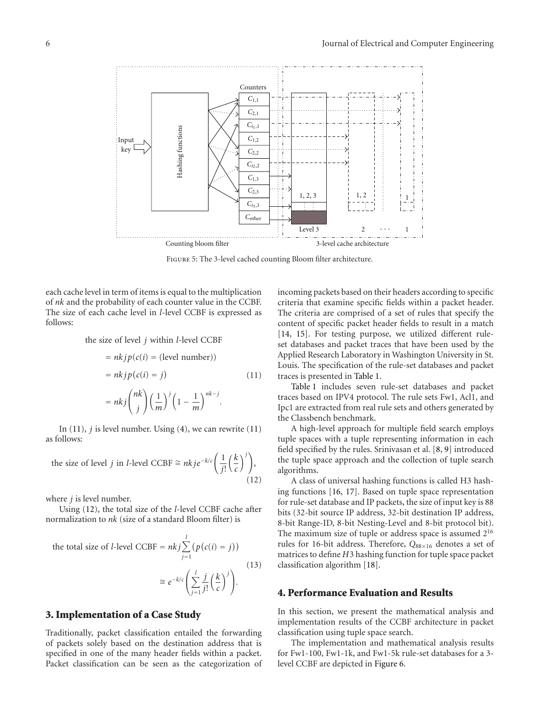

Figure 5: The 3-level cached counting Bloom filter architecture.

each cache level in term of items is equal to the multiplication of *nk* and the probability of each counter value in the CCBF. The size of each cache level in *l*-level CCBF is expressed as follows:

the size of level *j* within *l*-level CCBF

$$
= nkjp(c(i) = (level number))
$$
  
= nkjp(c(i) = j) (11)  
= nkj $\binom{nk}{j}$  $\left(\frac{1}{m}\right)^j \left(1 - \frac{1}{m}\right)^{nk-j}$ .

In (11), *j* is level number. Using (4), we can rewrite (11) as follows:

the size of level *j* in *l*-level CCBF 
$$
\cong nkj e^{-k/c} \left( \frac{1}{j!} \left( \frac{k}{c} \right)^j \right),
$$
 (12)

where *j* is level number.

Using (12), the total size of the *l*-level CCBF cache after normalization to *nk* (size of a standard Bloom filter) is

the total size of *l*-level CCBF = 
$$
nkj \sum_{j=1}^{l} (p(c(i) = j))
$$
  

$$
\approx e^{-k/c} \left( \sum_{j=1}^{l} \frac{j}{j!} \left( \frac{k}{c} \right)^j \right).
$$
 (13)

#### **3. Implementation of a Case Study**

Traditionally, packet classification entailed the forwarding of packets solely based on the destination address that is specified in one of the many header fields within a packet. Packet classification can be seen as the categorization of

incoming packets based on their headers according to specific criteria that examine specific fields within a packet header. The criteria are comprised of a set of rules that specify the content of specific packet header fields to result in a match [14, 15]. For testing purpose, we utilized different ruleset databases and packet traces that have been used by the Applied Research Laboratory in Washington University in St. Louis. The specification of the rule-set databases and packet traces is presented in Table 1.

Table 1 includes seven rule-set databases and packet traces based on IPV4 protocol. The rule sets Fw1, Acl1, and Ipc1 are extracted from real rule sets and others generated by the Classbench benchmark.

A high-level approach for multiple field search employs tuple spaces with a tuple representing information in each field specified by the rules. Srinivasan et al. [8, 9] introduced the tuple space approach and the collection of tuple search algorithms.

A class of universal hashing functions is called H3 hashing functions [16, 17]. Based on tuple space representation for rule-set database and IP packets, the size of input key is 88 bits (32-bit source IP address, 32-bit destination IP address, 8-bit Range-ID, 8-bit Nesting-Level and 8-bit protocol bit). The maximum size of tuple or address space is assumed 2<sup>16</sup> rules for 16-bit address. Therefore, *<sup>Q</sup>*<sup>88</sup>×<sup>16</sup> denotes a set of matrices to define *H*3 hashing function for tuple space packet classification algorithm [18].

#### **4. Performance Evaluation and Results**

In this section, we present the mathematical analysis and implementation results of the CCBF architecture in packet classification using tuple space search.

The implementation and mathematical analysis results for Fw1-100, Fw1-1k, and Fw1-5k rule-set databases for a 3 level CCBF are depicted in Figure 6.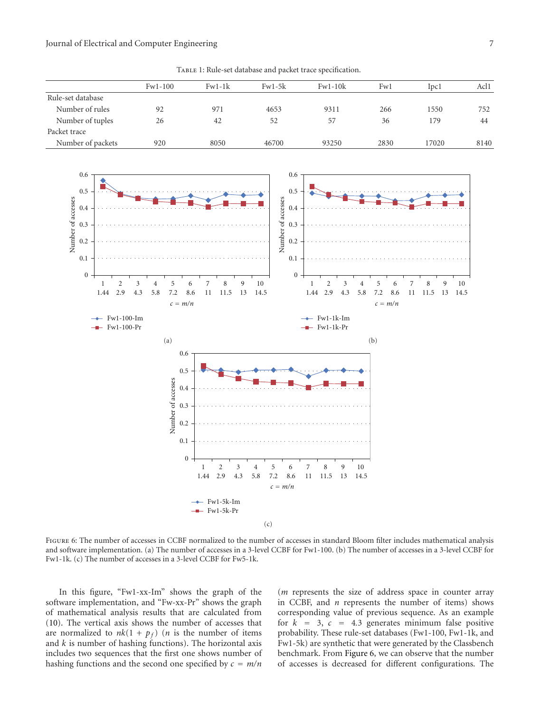|                   | $Fw1-100$ | $Fw1-1k$ | $Fw1-5k$ | $Fw1-10k$ | Fw1  | Ipc1  | Acl1 |
|-------------------|-----------|----------|----------|-----------|------|-------|------|
| Rule-set database |           |          |          |           |      |       |      |
| Number of rules   | 92        | 971      | 4653     | 9311      | 266  | 1550  | 752  |
| Number of tuples  | 26        | 42       | 52       | 57        | 36   | 179   | 44   |
| Packet trace      |           |          |          |           |      |       |      |
| Number of packets | 920       | 8050     | 46700    | 93250     | 2830 | 17020 | 8140 |

TABLE 1: Rule-set database and packet trace specification.



Figure 6: The number of accesses in CCBF normalized to the number of accesses in standard Bloom filter includes mathematical analysis and software implementation. (a) The number of accesses in a 3-level CCBF for Fw1-100. (b) The number of accesses in a 3-level CCBF for Fw1-1k. (c) The number of accesses in a 3-level CCBF for Fw5-1k.

In this figure, "Fw1-xx-Im" shows the graph of the software implementation, and "Fw-xx-Pr" shows the graph of mathematical analysis results that are calculated from (10). The vertical axis shows the number of accesses that are normalized to  $nk(1 + p_f)$  (*n* is the number of items and *k* is number of hashing functions). The horizontal axis includes two sequences that the first one shows number of hashing functions and the second one specified by *c* <sup>=</sup> *m/n*

(*m* represents the size of address space in counter array in CCBF, and *n* represents the number of items) shows corresponding value of previous sequence. As an example for  $k = 3$ ,  $c = 4.3$  generates minimum false positive probability. These rule-set databases (Fw1-100, Fw1-1k, and Fw1-5k) are synthetic that were generated by the Classbench benchmark. From Figure 6, we can observe that the number of accesses is decreased for different configurations. The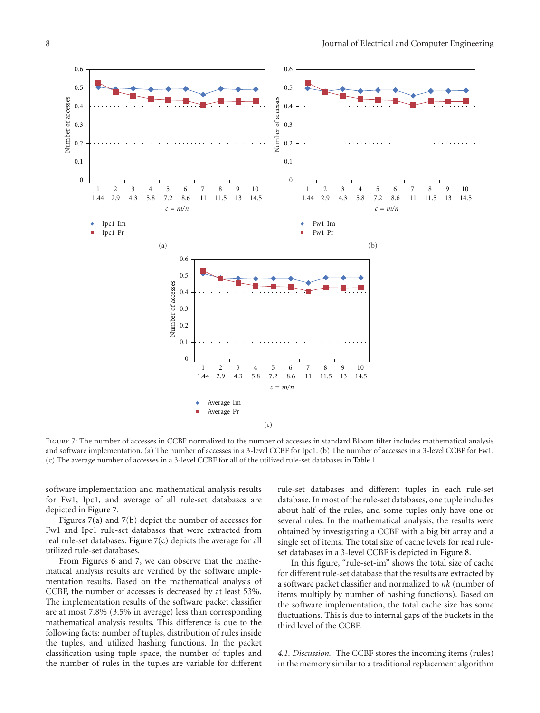

FIGURE 7: The number of accesses in CCBF normalized to the number of accesses in standard Bloom filter includes mathematical analysis and software implementation. (a) The number of accesses in a 3-level CCBF for Ipc1. (b) The number of accesses in a 3-level CCBF for Fw1. (c) The average number of accesses in a 3-level CCBF for all of the utilized rule-set databases in Table 1.

software implementation and mathematical analysis results for Fw1, Ipc1, and average of all rule-set databases are depicted in Figure 7.

Figures 7(a) and 7(b) depict the number of accesses for Fw1 and Ipc1 rule-set databases that were extracted from real rule-set databases. Figure 7(c) depicts the average for all utilized rule-set databases.

From Figures 6 and 7, we can observe that the mathematical analysis results are verified by the software implementation results. Based on the mathematical analysis of CCBF, the number of accesses is decreased by at least 53%. The implementation results of the software packet classifier are at most 7.8% (3.5% in average) less than corresponding mathematical analysis results. This difference is due to the following facts: number of tuples, distribution of rules inside the tuples, and utilized hashing functions. In the packet classification using tuple space, the number of tuples and the number of rules in the tuples are variable for different

rule-set databases and different tuples in each rule-set database. In most of the rule-set databases, one tuple includes about half of the rules, and some tuples only have one or several rules. In the mathematical analysis, the results were obtained by investigating a CCBF with a big bit array and a single set of items. The total size of cache levels for real ruleset databases in a 3-level CCBF is depicted in Figure 8.

In this figure, "rule-set-im" shows the total size of cache for different rule-set database that the results are extracted by a software packet classifier and normalized to *nk* (number of items multiply by number of hashing functions). Based on the software implementation, the total cache size has some fluctuations. This is due to internal gaps of the buckets in the third level of the CCBF.

*4.1. Discussion.* The CCBF stores the incoming items (rules) in the memory similar to a traditional replacement algorithm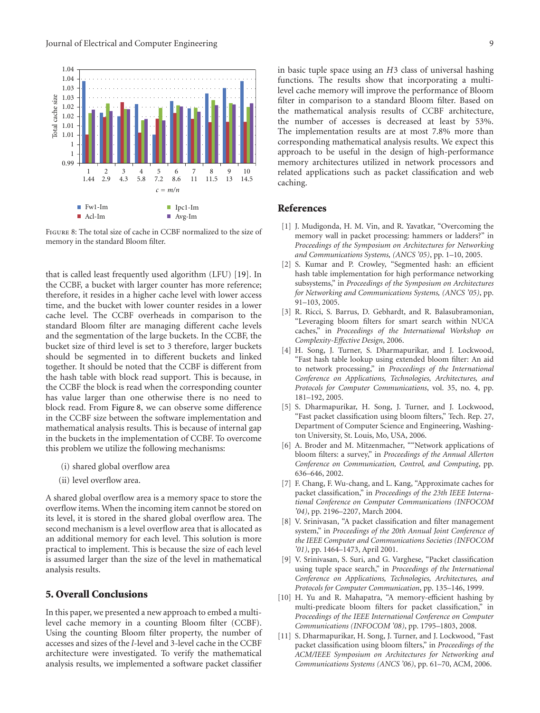

Figure 8: The total size of cache in CCBF normalized to the size of memory in the standard Bloom filter.

that is called least frequently used algorithm (LFU) [19]. In the CCBF, a bucket with larger counter has more reference; therefore, it resides in a higher cache level with lower access time, and the bucket with lower counter resides in a lower cache level. The CCBF overheads in comparison to the standard Bloom filter are managing different cache levels and the segmentation of the large buckets. In the CCBF, the bucket size of third level is set to 3 therefore, larger buckets should be segmented in to different buckets and linked together. It should be noted that the CCBF is different from the hash table with block read support. This is because, in the CCBF the block is read when the corresponding counter has value larger than one otherwise there is no need to block read. From Figure 8, we can observe some difference in the CCBF size between the software implementation and mathematical analysis results. This is because of internal gap in the buckets in the implementation of CCBF. To overcome this problem we utilize the following mechanisms:

- (i) shared global overflow area
- (ii) level overflow area.

A shared global overflow area is a memory space to store the overflow items. When the incoming item cannot be stored on its level, it is stored in the shared global overflow area. The second mechanism is a level overflow area that is allocated as an additional memory for each level. This solution is more practical to implement. This is because the size of each level is assumed larger than the size of the level in mathematical analysis results.

#### **5. Overall Conclusions**

In this paper, we presented a new approach to embed a multilevel cache memory in a counting Bloom filter (CCBF). Using the counting Bloom filter property, the number of accesses and sizes of the *l*-level and 3-level cache in the CCBF architecture were investigated. To verify the mathematical analysis results, we implemented a software packet classifier

in basic tuple space using an *H*3 class of universal hashing functions. The results show that incorporating a multilevel cache memory will improve the performance of Bloom filter in comparison to a standard Bloom filter. Based on the mathematical analysis results of CCBF architecture, the number of accesses is decreased at least by 53%. The implementation results are at most 7.8% more than corresponding mathematical analysis results. We expect this approach to be useful in the design of high-performance memory architectures utilized in network processors and related applications such as packet classification and web caching.

#### **References**

- [1] J. Mudigonda, H. M. Vin, and R. Yavatkar, "Overcoming the memory wall in packet processing: hammers or ladders?" in *Proceedings of the Symposium on Architectures for Networking and Communications Systems, (ANCS '05)*, pp. 1–10, 2005.
- [2] S. Kumar and P. Crowley, "Segmented hash: an efficient hash table implementation for high performance networking subsystems," in *Proceedings of the Symposium on Architectures for Networking and Communications Systems, (ANCS '05)*, pp. 91–103, 2005.
- [3] R. Ricci, S. Barrus, D. Gebhardt, and R. Balasubramonian, "Leveraging bloom filters for smart search within NUCA caches," in *Proceedings of the International Workshop on Complexity-Effective Design*, 2006.
- [4] H. Song, J. Turner, S. Dharmapurikar, and J. Lockwood, "Fast hash table lookup using extended bloom filter: An aid to network processing," in *Proceedings of the International Conference on Applications, Technologies, Architectures, and Protocols for Computer Communications*, vol. 35, no. 4, pp. 181–192, 2005.
- [5] S. Dharmapurikar, H. Song, J. Turner, and J. Lockwood, "Fast packet classification using bloom filters," Tech. Rep. 27, Department of Computer Science and Engineering, Washington University, St. Louis, Mo, USA, 2006.
- [6] A. Broder and M. Mitzenmacher, ""Network applications of bloom filters: a survey," in *Proceedings of the Annual Allerton Conference on Communication, Control, and Computing*, pp. 636–646, 2002.
- [7] F. Chang, F. Wu-chang, and L. Kang, "Approximate caches for packet classification," in *Proceedings of the 23th IEEE International Conference on Computer Communications (INFOCOM '04)*, pp. 2196–2207, March 2004.
- [8] V. Srinivasan, "A packet classification and filter management system," in *Proceedings of the 20th Annual Joint Conference of the IEEE Computer and Communications Societies (INFOCOM '01)*, pp. 1464–1473, April 2001.
- [9] V. Srinivasan, S. Suri, and G. Varghese, "Packet classification using tuple space search," in *Proceedings of the International Conference on Applications, Technologies, Architectures, and Protocols for Computer Communication*, pp. 135–146, 1999.
- [10] H. Yu and R. Mahapatra, "A memory-efficient hashing by multi-predicate bloom filters for packet classification," in *Proceedings of the IEEE International Conference on Computer Communications (INFOCOM '08)*, pp. 1795–1803, 2008.
- [11] S. Dharmapurikar, H. Song, J. Turner, and J. Lockwood, "Fast packet classification using bloom filters," in *Proceedings of the ACM/IEEE Symposium on Architectures for Networking and Communications Systems (ANCS '06)*, pp. 61–70, ACM, 2006.